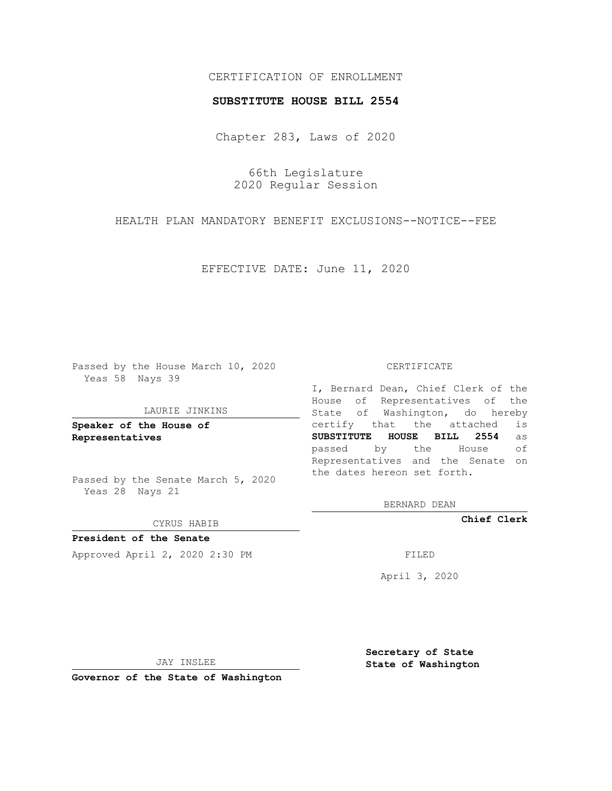## CERTIFICATION OF ENROLLMENT

### **SUBSTITUTE HOUSE BILL 2554**

Chapter 283, Laws of 2020

66th Legislature 2020 Regular Session

HEALTH PLAN MANDATORY BENEFIT EXCLUSIONS--NOTICE--FEE

EFFECTIVE DATE: June 11, 2020

Passed by the House March 10, 2020 Yeas 58 Nays 39

#### LAURIE JINKINS

**Speaker of the House of Representatives**

Passed by the Senate March 5, 2020 Yeas 28 Nays 21

CYRUS HABIB

**President of the Senate** Approved April 2, 2020 2:30 PM

CERTIFICATE

I, Bernard Dean, Chief Clerk of the House of Representatives of the State of Washington, do hereby certify that the attached is **SUBSTITUTE HOUSE BILL 2554** as passed by the House of Representatives and the Senate on the dates hereon set forth.

BERNARD DEAN

**Chief Clerk**

April 3, 2020

JAY INSLEE

**Governor of the State of Washington**

**Secretary of State State of Washington**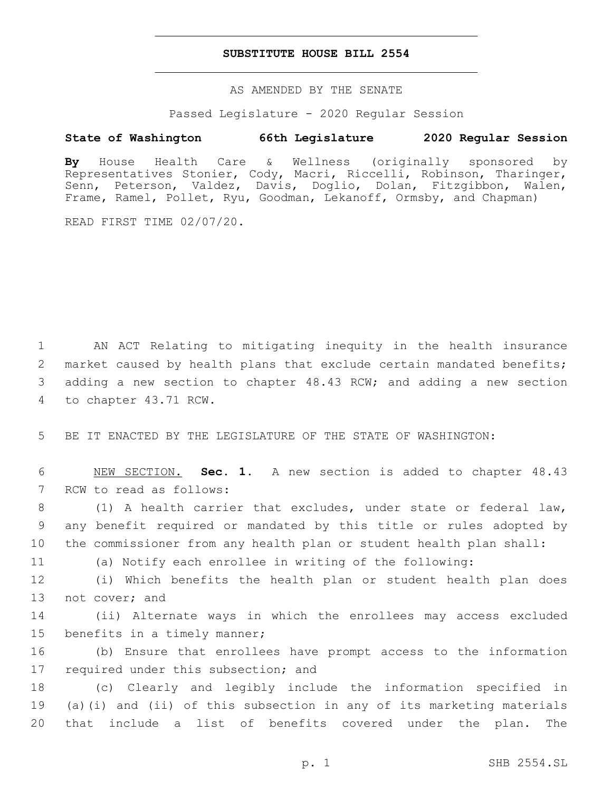## **SUBSTITUTE HOUSE BILL 2554**

AS AMENDED BY THE SENATE

Passed Legislature - 2020 Regular Session

# **State of Washington 66th Legislature 2020 Regular Session**

**By** House Health Care & Wellness (originally sponsored by Representatives Stonier, Cody, Macri, Riccelli, Robinson, Tharinger, Senn, Peterson, Valdez, Davis, Doglio, Dolan, Fitzgibbon, Walen, Frame, Ramel, Pollet, Ryu, Goodman, Lekanoff, Ormsby, and Chapman)

READ FIRST TIME 02/07/20.

1 AN ACT Relating to mitigating inequity in the health insurance 2 market caused by health plans that exclude certain mandated benefits; 3 adding a new section to chapter 48.43 RCW; and adding a new section 4 to chapter 43.71 RCW.

5 BE IT ENACTED BY THE LEGISLATURE OF THE STATE OF WASHINGTON:

6 NEW SECTION. **Sec. 1.** A new section is added to chapter 48.43 7 RCW to read as follows:

8 (1) A health carrier that excludes, under state or federal law, 9 any benefit required or mandated by this title or rules adopted by 10 the commissioner from any health plan or student health plan shall:

11 (a) Notify each enrollee in writing of the following:

12 (i) Which benefits the health plan or student health plan does 13 not cover; and

14 (ii) Alternate ways in which the enrollees may access excluded 15 benefits in a timely manner;

16 (b) Ensure that enrollees have prompt access to the information 17 required under this subsection; and

18 (c) Clearly and legibly include the information specified in 19 (a)(i) and (ii) of this subsection in any of its marketing materials 20 that include a list of benefits covered under the plan. The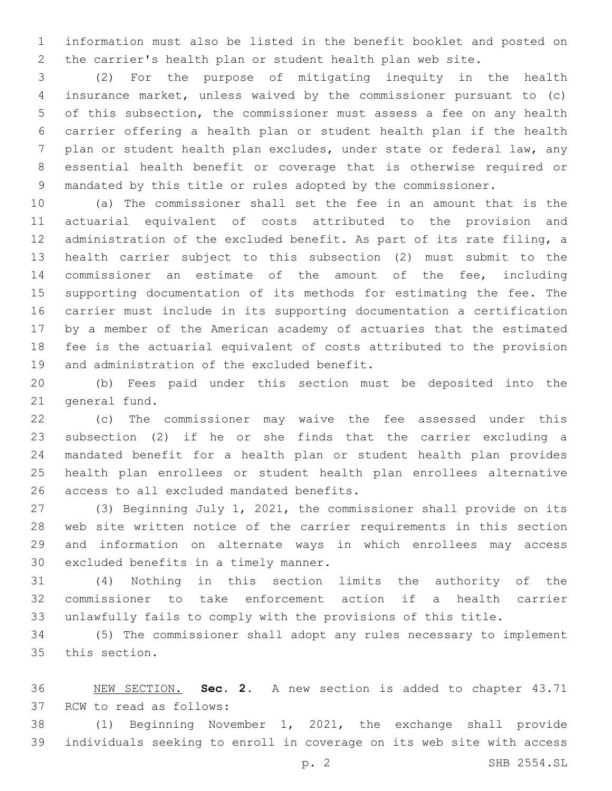information must also be listed in the benefit booklet and posted on the carrier's health plan or student health plan web site.

 (2) For the purpose of mitigating inequity in the health insurance market, unless waived by the commissioner pursuant to (c) of this subsection, the commissioner must assess a fee on any health carrier offering a health plan or student health plan if the health plan or student health plan excludes, under state or federal law, any essential health benefit or coverage that is otherwise required or mandated by this title or rules adopted by the commissioner.

 (a) The commissioner shall set the fee in an amount that is the actuarial equivalent of costs attributed to the provision and administration of the excluded benefit. As part of its rate filing, a health carrier subject to this subsection (2) must submit to the commissioner an estimate of the amount of the fee, including supporting documentation of its methods for estimating the fee. The carrier must include in its supporting documentation a certification by a member of the American academy of actuaries that the estimated fee is the actuarial equivalent of costs attributed to the provision 19 and administration of the excluded benefit.

 (b) Fees paid under this section must be deposited into the 21 general fund.

 (c) The commissioner may waive the fee assessed under this subsection (2) if he or she finds that the carrier excluding a mandated benefit for a health plan or student health plan provides health plan enrollees or student health plan enrollees alternative 26 access to all excluded mandated benefits.

 (3) Beginning July 1, 2021, the commissioner shall provide on its web site written notice of the carrier requirements in this section and information on alternate ways in which enrollees may access 30 excluded benefits in a timely manner.

 (4) Nothing in this section limits the authority of the commissioner to take enforcement action if a health carrier unlawfully fails to comply with the provisions of this title.

 (5) The commissioner shall adopt any rules necessary to implement 35 this section.

 NEW SECTION. **Sec. 2.** A new section is added to chapter 43.71 37 RCW to read as follows:

 (1) Beginning November 1, 2021, the exchange shall provide individuals seeking to enroll in coverage on its web site with access

p. 2 SHB 2554.SL